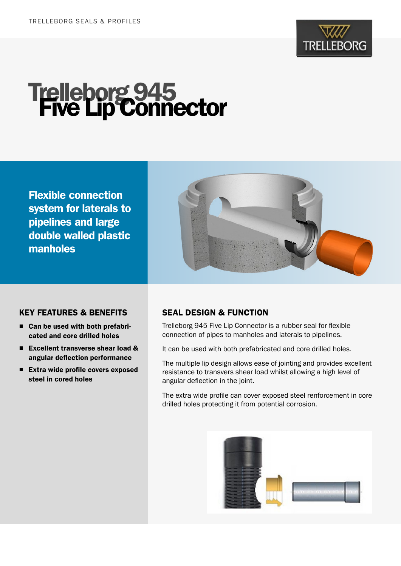

# **Trelleborg 945<br>Five Lip Connector**

Flexible connection system for laterals to pipelines and large double walled plastic manholes



#### KEY FEATURES & BENEFITS

- Can be used with both prefabricated and core drilled holes
- Excellent transverse shear load & angular deflection performance
- Extra wide profile covers exposed steel in cored holes

### SEAL DESIGN & FUNCTION

Trelleborg 945 Five Lip Connector is a rubber seal for flexible connection of pipes to manholes and laterals to pipelines.

It can be used with both prefabricated and core drilled holes.

The multiple lip design allows ease of jointing and provides excellent resistance to transvers shear load whilst allowing a high level of angular deflection in the joint.

The extra wide profile can cover exposed steel renforcement in core drilled holes protecting it from potential corrosion.